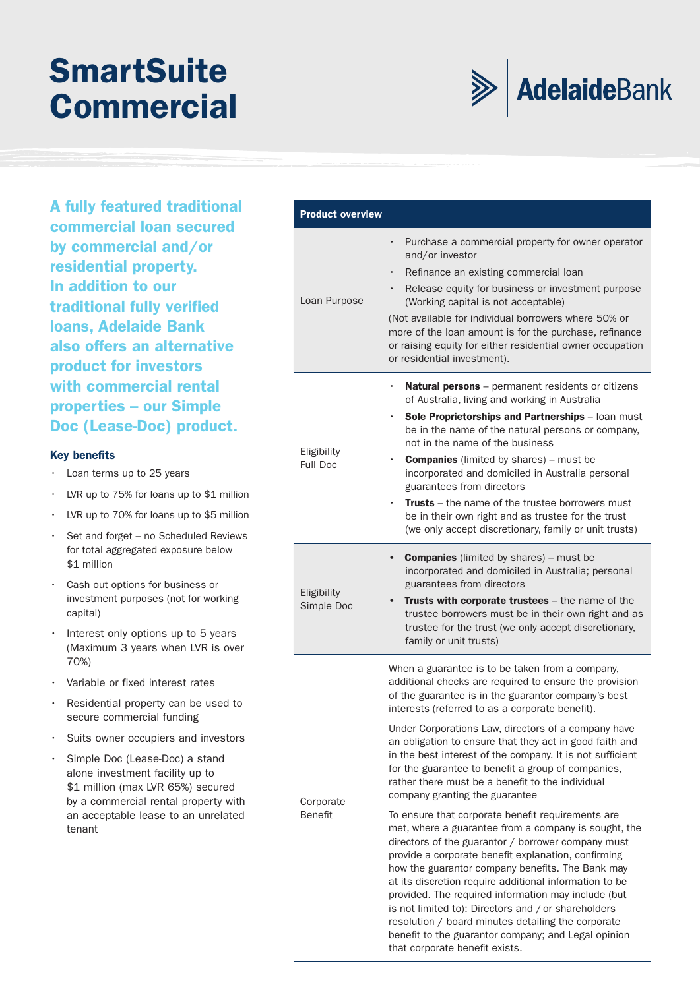## **SmartSuite Commercial**



A fully featured traditional commercial loan secured by commercial and/or residential property. In addition to our traditional fully verified loans, Adelaide Bank also offers an alternative product for investors with commercial rental properties – our Simple Doc (Lease-Doc) product.

## Key benefits

- Loan terms up to 25 years
- LVR up to 75% for loans up to \$1 million
- LVR up to 70% for loans up to \$5 million
- Set and forget no Scheduled Reviews for total aggregated exposure below \$1 million
- Cash out options for business or investment purposes (not for working capital)
- Interest only options up to 5 years (Maximum 3 years when LVR is over 70%)
- Variable or fixed interest rates
- Residential property can be used to secure commercial funding
- Suits owner occupiers and investors
- Simple Doc (Lease-Doc) a stand alone investment facility up to \$1 million (max LVR 65%) secured by a commercial rental property with an acceptable lease to an unrelated tenant

| <b>Product overview</b>        |                                                                                                                                                                                                                                                                                                                                                                                                                                                                                                                                                                                |
|--------------------------------|--------------------------------------------------------------------------------------------------------------------------------------------------------------------------------------------------------------------------------------------------------------------------------------------------------------------------------------------------------------------------------------------------------------------------------------------------------------------------------------------------------------------------------------------------------------------------------|
| Loan Purpose                   | Purchase a commercial property for owner operator<br>$\bullet$<br>and/or investor<br>Refinance an existing commercial loan<br>$\bullet$<br>Release equity for business or investment purpose<br>(Working capital is not acceptable)<br>(Not available for individual borrowers where 50% or<br>more of the loan amount is for the purchase, refinance<br>or raising equity for either residential owner occupation<br>or residential investment).                                                                                                                              |
| Eligibility<br><b>Full Doc</b> | <b>Natural persons</b> – permanent residents or citizens<br>of Australia, living and working in Australia<br><b>Sole Proprietorships and Partnerships</b> – loan must<br>۰<br>be in the name of the natural persons or company,<br>not in the name of the business<br><b>Companies</b> (limited by shares) – must be<br>incorporated and domiciled in Australia personal<br>guarantees from directors<br><b>Trusts</b> – the name of the trustee borrowers must<br>be in their own right and as trustee for the trust<br>(we only accept discretionary, family or unit trusts) |
| Eligibility<br>Simple Doc      | <b>Companies</b> (limited by shares) – must be<br>incorporated and domiciled in Australia; personal<br>guarantees from directors<br><b>Trusts with corporate trustees</b> – the name of the<br>trustee borrowers must be in their own right and as<br>trustee for the trust (we only accept discretionary,<br>family or unit trusts)                                                                                                                                                                                                                                           |
|                                | When a guarantee is to be taken from a company,<br>additional checks are required to ensure the provision<br>of the guarantee is in the guarantor company's best<br>interests (referred to as a corporate benefit).<br>Under Corporations Law, directors of a company have<br>an obligation to ensure that they act in good faith and<br>in the best interest of the company. It is not sufficient                                                                                                                                                                             |

for the guarantee to benefit a group of companies, rather there must be a benefit to the individual

To ensure that corporate benefit requirements are met, where a guarantee from a company is sought, the directors of the guarantor / borrower company must provide a corporate benefit explanation, confirming how the guarantor company benefits. The Bank may at its discretion require additional information to be provided. The required information may include (but is not limited to): Directors and / or shareholders resolution / board minutes detailing the corporate benefit to the guarantor company; and Legal opinion

company granting the guarantee

that corporate benefit exists.

**Corporate** Benefit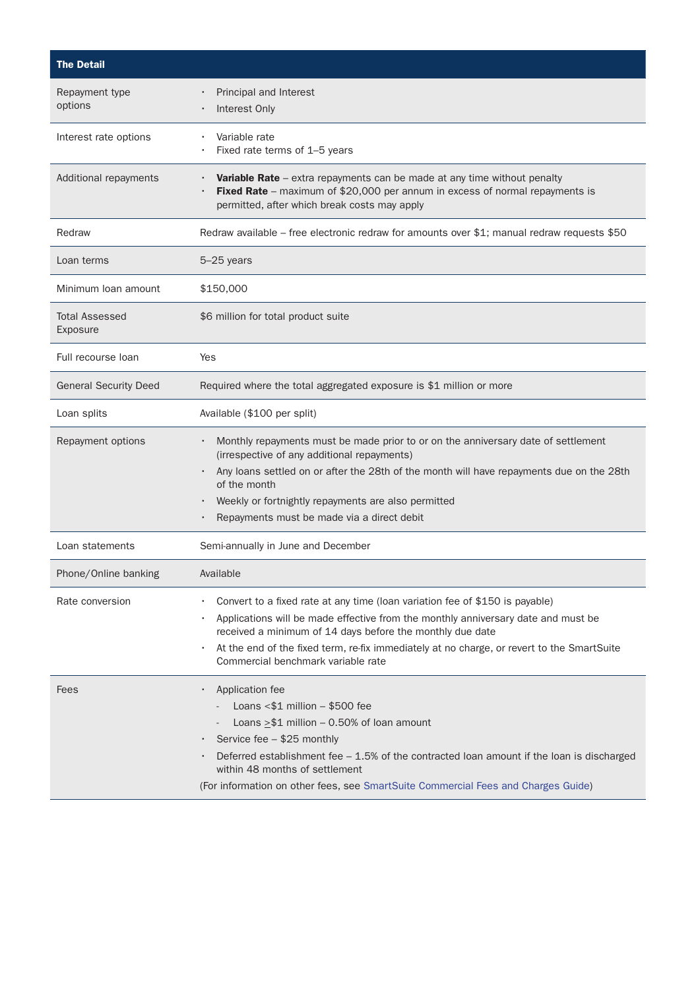| <b>The Detail</b>                 |                                                                                                                                                                                                                                                                                                                                                                    |
|-----------------------------------|--------------------------------------------------------------------------------------------------------------------------------------------------------------------------------------------------------------------------------------------------------------------------------------------------------------------------------------------------------------------|
| Repayment type<br>options         | Principal and Interest<br>Interest Only                                                                                                                                                                                                                                                                                                                            |
| Interest rate options             | Variable rate<br>Fixed rate terms of 1-5 years                                                                                                                                                                                                                                                                                                                     |
| Additional repayments             | Variable Rate - extra repayments can be made at any time without penalty<br>Fixed Rate - maximum of \$20,000 per annum in excess of normal repayments is<br>permitted, after which break costs may apply                                                                                                                                                           |
| Redraw                            | Redraw available – free electronic redraw for amounts over \$1; manual redraw requests \$50                                                                                                                                                                                                                                                                        |
| Loan terms                        | 5-25 years                                                                                                                                                                                                                                                                                                                                                         |
| Minimum Ioan amount               | \$150,000                                                                                                                                                                                                                                                                                                                                                          |
| <b>Total Assessed</b><br>Exposure | \$6 million for total product suite                                                                                                                                                                                                                                                                                                                                |
| Full recourse loan                | Yes                                                                                                                                                                                                                                                                                                                                                                |
| <b>General Security Deed</b>      | Required where the total aggregated exposure is \$1 million or more                                                                                                                                                                                                                                                                                                |
| Loan splits                       | Available (\$100 per split)                                                                                                                                                                                                                                                                                                                                        |
| Repayment options                 | Monthly repayments must be made prior to or on the anniversary date of settlement<br>(irrespective of any additional repayments)<br>Any loans settled on or after the 28th of the month will have repayments due on the 28th<br>of the month<br>Weekly or fortnightly repayments are also permitted<br>Repayments must be made via a direct debit                  |
| Loan statements                   | Semi-annually in June and December                                                                                                                                                                                                                                                                                                                                 |
| Phone/Online banking              | Available                                                                                                                                                                                                                                                                                                                                                          |
| Rate conversion                   | Convert to a fixed rate at any time (loan variation fee of \$150 is payable)<br>Applications will be made effective from the monthly anniversary date and must be<br>received a minimum of 14 days before the monthly due date<br>At the end of the fixed term, re-fix immediately at no charge, or revert to the SmartSuite<br>Commercial benchmark variable rate |
| Fees                              | Application fee<br>Loans $<$ \$1 million $-$ \$500 fee<br>Loans $> $1$ million - 0.50% of loan amount<br>Service fee - \$25 monthly<br>Deferred establishment fee $-1.5\%$ of the contracted loan amount if the loan is discharged<br>within 48 months of settlement<br>(For information on other fees, see SmartSuite Commercial Fees and Charges Guide)          |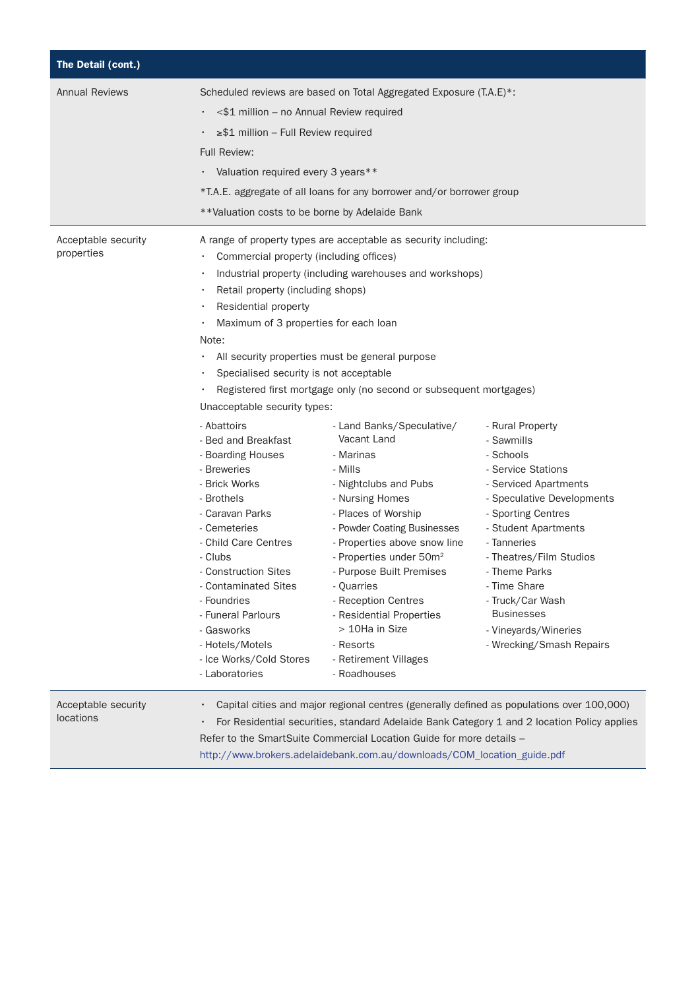| The Detail (cont.)                |                                                                                                                                                                                                                                                                                                                                                                                                                                                                                                                                                                                    |                                                                                                                                                                                                                                                                                                                                                                                                                                                                                                                                                                                                                                                                        |                                                                                                                                                                                                                                                                                                                                                |
|-----------------------------------|------------------------------------------------------------------------------------------------------------------------------------------------------------------------------------------------------------------------------------------------------------------------------------------------------------------------------------------------------------------------------------------------------------------------------------------------------------------------------------------------------------------------------------------------------------------------------------|------------------------------------------------------------------------------------------------------------------------------------------------------------------------------------------------------------------------------------------------------------------------------------------------------------------------------------------------------------------------------------------------------------------------------------------------------------------------------------------------------------------------------------------------------------------------------------------------------------------------------------------------------------------------|------------------------------------------------------------------------------------------------------------------------------------------------------------------------------------------------------------------------------------------------------------------------------------------------------------------------------------------------|
| <b>Annual Reviews</b>             | <\$1 million - no Annual Review required<br>≥\$1 million - Full Review required<br><b>Full Review:</b><br>Valuation required every 3 years**<br>** Valuation costs to be borne by Adelaide Bank                                                                                                                                                                                                                                                                                                                                                                                    | Scheduled reviews are based on Total Aggregated Exposure (T.A.E)*:<br>*T.A.E. aggregate of all loans for any borrower and/or borrower group                                                                                                                                                                                                                                                                                                                                                                                                                                                                                                                            |                                                                                                                                                                                                                                                                                                                                                |
| Acceptable security<br>properties | Commercial property (including offices)<br>Retail property (including shops)<br>Residential property<br>Maximum of 3 properties for each loan<br>Note:<br>Specialised security is not acceptable<br>Unacceptable security types:<br>- Abattoirs<br>- Bed and Breakfast<br>- Boarding Houses<br>- Breweries<br>- Brick Works<br>- Brothels<br>- Caravan Parks<br>- Cemeteries<br>- Child Care Centres<br>- Clubs<br>- Construction Sites<br>- Contaminated Sites<br>- Foundries<br>- Funeral Parlours<br>- Gasworks<br>- Hotels/Motels<br>- Ice Works/Cold Stores<br>- Laboratories | A range of property types are acceptable as security including:<br>Industrial property (including warehouses and workshops)<br>All security properties must be general purpose<br>Registered first mortgage only (no second or subsequent mortgages)<br>- Land Banks/Speculative/<br>Vacant Land<br>- Marinas<br>- Mills<br>- Nightclubs and Pubs<br>- Nursing Homes<br>- Places of Worship<br>- Powder Coating Businesses<br>- Properties above snow line<br>- Properties under 50m <sup>2</sup><br>- Purpose Built Premises<br>- Quarries<br>- Reception Centres<br>- Residential Properties<br>> 10Ha in Size<br>- Resorts<br>- Retirement Villages<br>- Roadhouses | - Rural Property<br>- Sawmills<br>- Schools<br>- Service Stations<br>- Serviced Apartments<br>- Speculative Developments<br>- Sporting Centres<br>- Student Apartments<br>- Tanneries<br>- Theatres/Film Studios<br>- Theme Parks<br>- Time Share<br>- Truck/Car Wash<br><b>Businesses</b><br>- Vineyards/Wineries<br>- Wrecking/Smash Repairs |
| Acceptable security<br>locations  |                                                                                                                                                                                                                                                                                                                                                                                                                                                                                                                                                                                    | Capital cities and major regional centres (generally defined as populations over 100,000)<br>Refer to the SmartSuite Commercial Location Guide for more details -<br>http://www.brokers.adelaidebank.com.au/downloads/COM_location_guide.pdf                                                                                                                                                                                                                                                                                                                                                                                                                           | For Residential securities, standard Adelaide Bank Category 1 and 2 location Policy applies                                                                                                                                                                                                                                                    |